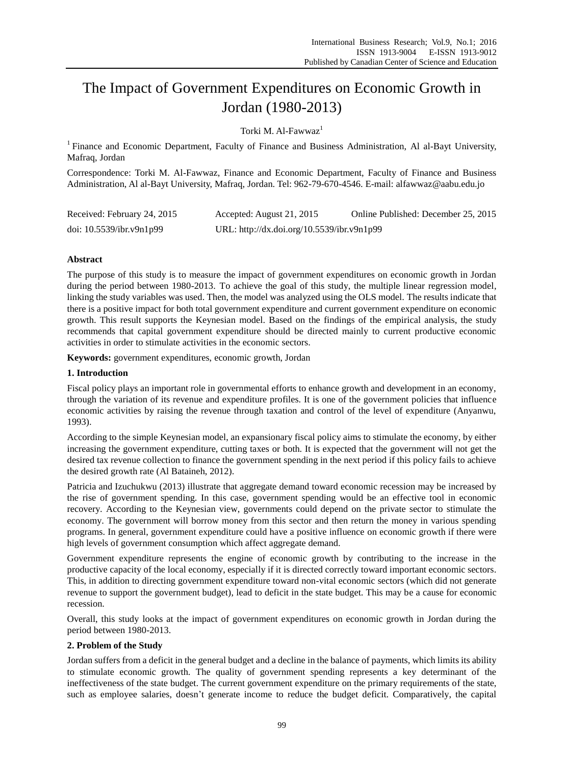# The Impact of Government Expenditures on Economic Growth in Jordan (1980-2013)

Torki M. Al-Fawwaz<sup>1</sup>

<sup>1</sup> Finance and Economic Department, Faculty of Finance and Business Administration, Al al-Bayt University, Mafraq, Jordan

Correspondence: Torki M. Al-Fawwaz, Finance and Economic Department, Faculty of Finance and Business Administration, Al al-Bayt University, Mafraq, Jordan. Tel: 962-79-670-4546. E-mail: alfawwaz@aabu.edu.jo

| Received: February 24, 2015 | Accepted: August 21, 2015                  | Online Published: December 25, 2015 |
|-----------------------------|--------------------------------------------|-------------------------------------|
| doi: 10.5539/ibr.v9n1p99    | URL: http://dx.doi.org/10.5539/ibr.v9n1p99 |                                     |

# **Abstract**

The purpose of this study is to measure the impact of government expenditures on economic growth in Jordan during the period between 1980-2013. To achieve the goal of this study, the multiple linear regression model, linking the study variables was used. Then, the model was analyzed using the OLS model. The results indicate that there is a positive impact for both total government expenditure and current government expenditure on economic growth. This result supports the Keynesian model. Based on the findings of the empirical analysis, the study recommends that capital government expenditure should be directed mainly to current productive economic activities in order to stimulate activities in the economic sectors.

**Keywords:** government expenditures, economic growth, Jordan

# **1. Introduction**

Fiscal policy plays an important role in governmental efforts to enhance growth and development in an economy, through the variation of its revenue and expenditure profiles. It is one of the government policies that influence economic activities by raising the revenue through taxation and control of the level of expenditure (Anyanwu, 1993).

According to the simple Keynesian model, an expansionary fiscal policy aims to stimulate the economy, by either increasing the government expenditure, cutting taxes or both. It is expected that the government will not get the desired tax revenue collection to finance the government spending in the next period if this policy fails to achieve the desired growth rate (Al Bataineh, 2012).

Patricia and Izuchukwu (2013) illustrate that aggregate demand toward economic recession may be increased by the rise of government spending. In this case, government spending would be an effective tool in economic recovery. According to the Keynesian view, governments could depend on the private sector to stimulate the economy. The government will borrow money from this sector and then return the money in various spending programs. In general, government expenditure could have a positive influence on economic growth if there were high levels of government consumption which affect aggregate demand.

Government expenditure represents the engine of economic growth by contributing to the increase in the productive capacity of the local economy, especially if it is directed correctly toward important economic sectors. This, in addition to directing government expenditure toward non-vital economic sectors (which did not generate revenue to support the government budget), lead to deficit in the state budget. This may be a cause for economic recession.

Overall, this study looks at the impact of government expenditures on economic growth in Jordan during the period between 1980-2013.

# **2. Problem of the Study**

Jordan suffers from a deficit in the general budget and a decline in the balance of payments, which limits its ability to stimulate economic growth. The quality of government spending represents a key determinant of the ineffectiveness of the state budget. The current government expenditure on the primary requirements of the state, such as employee salaries, doesn't generate income to reduce the budget deficit. Comparatively, the capital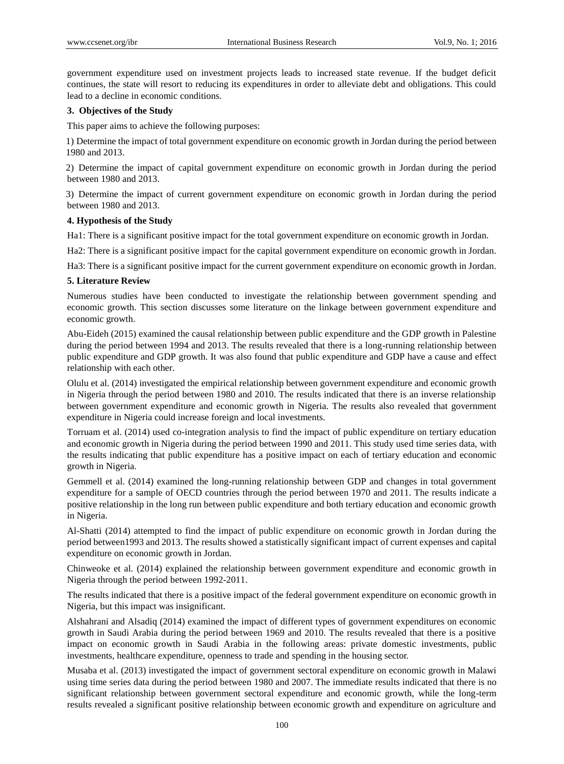government expenditure used on investment projects leads to increased state revenue. If the budget deficit continues, the state will resort to reducing its expenditures in order to alleviate debt and obligations. This could lead to a decline in economic conditions.

## **3. Objectives of the Study**

This paper aims to achieve the following purposes:

1) Determine the impact of total government expenditure on economic growth in Jordan during the period between 1980 and 2013.

2) Determine the impact of capital government expenditure on economic growth in Jordan during the period between 1980 and 2013.

3) Determine the impact of current government expenditure on economic growth in Jordan during the period between 1980 and 2013.

#### **4. Hypothesis of the Study**

Ha1: There is a significant positive impact for the total government expenditure on economic growth in Jordan.

Ha2: There is a significant positive impact for the capital government expenditure on economic growth in Jordan.

Ha3: There is a significant positive impact for the current government expenditure on economic growth in Jordan.

#### **5. Literature Review**

Numerous studies have been conducted to investigate the relationship between government spending and economic growth. This section discusses some literature on the linkage between government expenditure and economic growth.

Abu-Eideh (2015) examined the causal relationship between public expenditure and the GDP growth in Palestine during the period between 1994 and 2013. The results revealed that there is a long-running relationship between public expenditure and GDP growth. It was also found that public expenditure and GDP have a cause and effect relationship with each other.

Olulu et al. (2014) investigated the empirical relationship between government expenditure and economic growth in Nigeria through the period between 1980 and 2010. The results indicated that there is an inverse relationship between government expenditure and economic growth in Nigeria. The results also revealed that government expenditure in Nigeria could increase foreign and local investments.

Torruam et al. (2014) used co-integration analysis to find the impact of public expenditure on tertiary education and economic growth in Nigeria during the period between 1990 and 2011. This study used time series data, with the results indicating that public expenditure has a positive impact on each of tertiary education and economic growth in Nigeria.

Gemmell et al. (2014) examined the long-running relationship between GDP and changes in total government expenditure for a sample of OECD countries through the period between 1970 and 2011. The results indicate a positive relationship in the long run between public expenditure and both tertiary education and economic growth in Nigeria.

Al-Shatti (2014) attempted to find the impact of public expenditure on economic growth in Jordan during the period between1993 and 2013. The results showed a statistically significant impact of current expenses and capital expenditure on economic growth in Jordan.

Chinweoke et al. (2014) explained the relationship between government expenditure and economic growth in Nigeria through the period between 1992-2011.

The results indicated that there is a positive impact of the federal government expenditure on economic growth in Nigeria, but this impact was insignificant.

Alshahrani and Alsadiq (2014) examined the impact of different types of government expenditures on economic growth in Saudi Arabia during the period between 1969 and 2010. The results revealed that there is a positive impact on economic growth in Saudi Arabia in the following areas: private domestic investments, public investments, healthcare expenditure, openness to trade and spending in the housing sector.

Musaba et al. (2013) investigated the impact of government sectoral expenditure on economic growth in Malawi using time series data during the period between 1980 and 2007. The immediate results indicated that there is no significant relationship between government sectoral expenditure and economic growth, while the long-term results revealed a significant positive relationship between economic growth and expenditure on agriculture and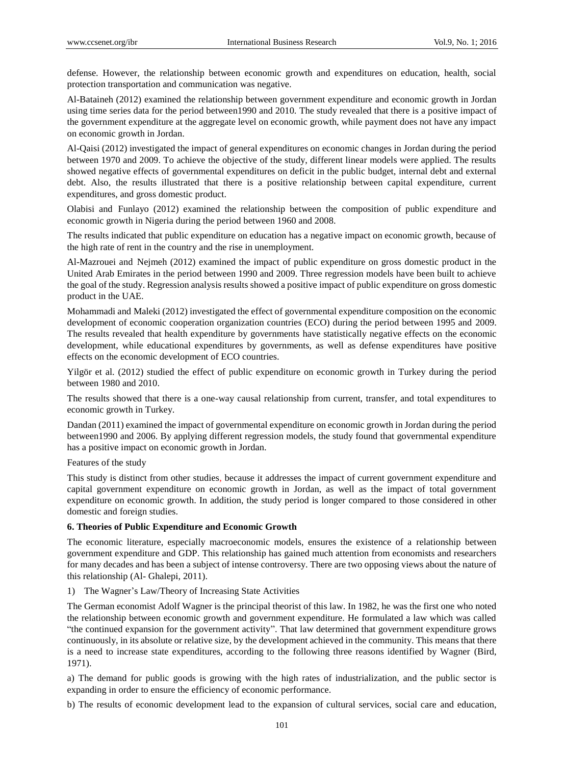defense. However, the relationship between economic growth and expenditures on education, health, social protection transportation and communication was negative.

Al-Bataineh (2012) examined the relationship between government expenditure and economic growth in Jordan using time series data for the period between1990 and 2010. The study revealed that there is a positive impact of the government expenditure at the aggregate level on economic growth, while payment does not have any impact on economic growth in Jordan.

Al-Qaisi (2012) investigated the impact of general expenditures on economic changes in Jordan during the period between 1970 and 2009. To achieve the objective of the study, different linear models were applied. The results showed negative effects of governmental expenditures on deficit in the public budget, internal debt and external debt. Also, the results illustrated that there is a positive relationship between capital expenditure, current expenditures, and gross domestic product.

Olabisi and Funlayo (2012) examined the relationship between the composition of public expenditure and economic growth in Nigeria during the period between 1960 and 2008.

The results indicated that public expenditure on education has a negative impact on economic growth, because of the high rate of rent in the country and the rise in unemployment.

Al-Mazrouei and Nejmeh (2012) examined the impact of public expenditure on gross domestic product in the United Arab Emirates in the period between 1990 and 2009. Three regression models have been built to achieve the goal of the study. Regression analysis results showed a positive impact of public expenditure on gross domestic product in the UAE.

Mohammadi and Maleki (2012) investigated the effect of governmental expenditure composition on the economic development of economic cooperation organization countries (ECO) during the period between 1995 and 2009. The results revealed that health expenditure by governments have statistically negative effects on the economic development, while educational expenditures by governments, as well as defense expenditures have positive effects on the economic development of ECO countries.

Yilgör et al. (2012) studied the effect of public expenditure on economic growth in Turkey during the period between 1980 and 2010.

The results showed that there is a one-way causal relationship from current, transfer, and total expenditures to economic growth in Turkey.

Dandan (2011) examined the impact of governmental expenditure on economic growth in Jordan during the period between1990 and 2006. By applying different regression models, the study found that governmental expenditure has a positive impact on economic growth in Jordan.

Features of the study

This study is distinct from other studies, because it addresses the impact of current government expenditure and capital government expenditure on economic growth in Jordan, as well as the impact of total government expenditure on economic growth. In addition, the study period is longer compared to those considered in other domestic and foreign studies.

#### **6. Theories of Public Expenditure and Economic Growth**

The economic literature, especially macroeconomic models, ensures the existence of a relationship between government expenditure and GDP. This relationship has gained much attention from economists and researchers for many decades and has been a subject of intense controversy. There are two opposing views about the nature of this relationship (Al- Ghalepi, 2011).

1) The Wagner's Law/Theory of Increasing State Activities

The German economist Adolf Wagner is the principal theorist of this law. In 1982, he was the first one who noted the relationship between economic growth and government expenditure. He formulated a law which was called "the continued expansion for the government activity". That law determined that government expenditure grows continuously, in its absolute or relative size, by the development achieved in the community. This means that there is a need to increase state expenditures, according to the following three reasons identified by Wagner (Bird, 1971).

a) The demand for public goods is growing with the high rates of industrialization, and the public sector is expanding in order to ensure the efficiency of economic performance.

b) The results of economic development lead to the expansion of cultural services, social care and education,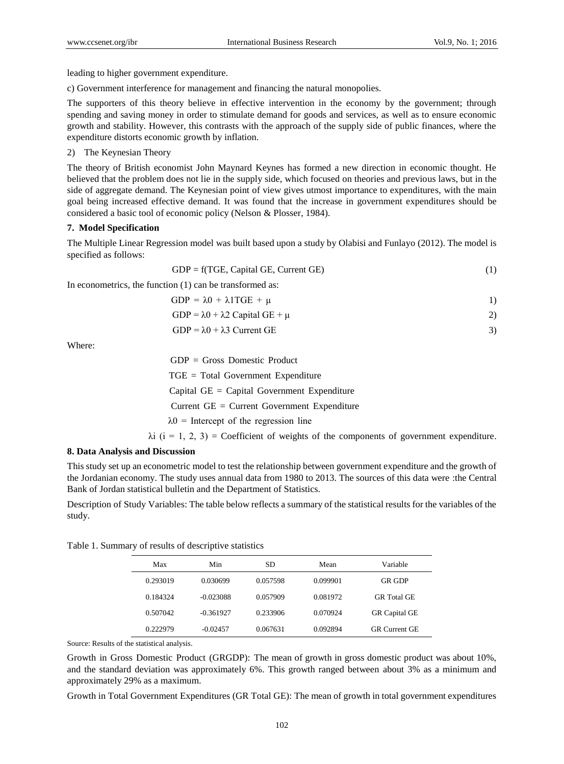leading to higher government expenditure.

c) Government interference for management and financing the natural monopolies.

The supporters of this theory believe in effective intervention in the economy by the government; through spending and saving money in order to stimulate demand for goods and services, as well as to ensure economic growth and stability. However, this contrasts with the approach of the supply side of public finances, where the expenditure distorts economic growth by inflation.

2) The Keynesian Theory

The theory of British economist John Maynard Keynes has formed a new direction in economic thought. He believed that the problem does not lie in the supply side, which focused on theories and previous laws, but in the side of aggregate demand. The Keynesian point of view gives utmost importance to expenditures, with the main goal being increased effective demand. It was found that the increase in government expenditures should be considered a basic tool of economic policy (Nelson & Plosser, 1984).

#### **7. Model Specification**

The Multiple Linear Regression model was built based upon a study by Olabisi and Funlayo (2012). The model is specified as follows:

$$
GDP = f(TGE, Capital GE, Current GE)
$$
\n
$$
(1)
$$

In econometrics, the function (1) can be transformed as:

$$
GDP = \lambda 0 + \lambda 1TGE + \mu
$$
  
\n
$$
GDP = \lambda 0 + \lambda 2 \text{ Capital GE} + \mu
$$

GDP = 
$$
\lambda 0 + \lambda 3
$$
 Current GE  
3

Where:

GDP = Gross Domestic Product TGE = Total Government Expenditure Capital GE = Capital Government Expenditure Current GE = Current Government Expenditure  $\lambda$ 0 = Intercept of the regression line

$$
\lambda i
$$
 (i = 1, 2, 3) = Coefficient of weights of the components of government expenditure.

#### **8. Data Analysis and Discussion**

This study set up an econometric model to test the relationship between government expenditure and the growth of the Jordanian economy. The study uses annual data from 1980 to 2013. The sources of this data were :the Central Bank of Jordan statistical bulletin and the Department of Statistics.

Description of Study Variables: The table below reflects a summary of the statistical results for the variables of the study.

| Max      | Min         | SD       | Mean     | Variable             |
|----------|-------------|----------|----------|----------------------|
| 0.293019 | 0.030699    | 0.057598 | 0.099901 | <b>GR GDP</b>        |
| 0.184324 | $-0.023088$ | 0.057909 | 0.081972 | <b>GR</b> Total GE   |
| 0.507042 | $-0.361927$ | 0.233906 | 0.070924 | <b>GR Capital GE</b> |
| 0.222979 | $-0.02457$  | 0.067631 | 0.092894 | <b>GR</b> Current GE |

Source: Results of the statistical analysis.

Growth in Gross Domestic Product (GRGDP): The mean of growth in gross domestic product was about 10%, and the standard deviation was approximately 6%. This growth ranged between about 3% as a minimum and approximately 29% as a maximum.

Growth in Total Government Expenditures (GR Total GE): The mean of growth in total government expenditures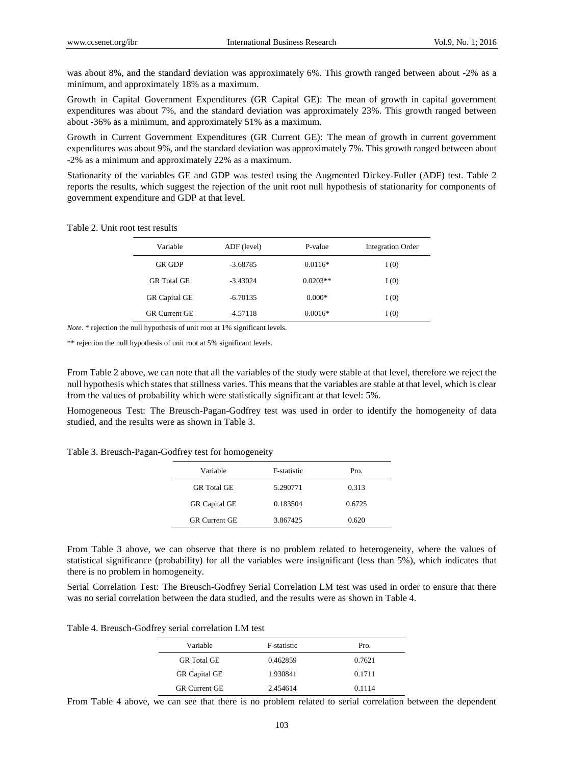was about 8%, and the standard deviation was approximately 6%. This growth ranged between about -2% as a minimum, and approximately 18% as a maximum.

Growth in Capital Government Expenditures (GR Capital GE): The mean of growth in capital government expenditures was about 7%, and the standard deviation was approximately 23%. This growth ranged between about -36% as a minimum, and approximately 51% as a maximum.

Growth in Current Government Expenditures (GR Current GE): The mean of growth in current government expenditures was about 9%, and the standard deviation was approximately 7%. This growth ranged between about -2% as a minimum and approximately 22% as a maximum.

Stationarity of the variables GE and GDP was tested using the Augmented Dickey-Fuller (ADF) test. Table 2 reports the results, which suggest the rejection of the unit root null hypothesis of stationarity for components of government expenditure and GDP at that level.

Table 2. Unit root test results

| Variable             | ADF (level) | P-value    | <b>Integration Order</b> |
|----------------------|-------------|------------|--------------------------|
| <b>GR GDP</b>        | $-3.68785$  | $0.0116*$  | I(0)                     |
| <b>GR</b> Total GE   | $-3.43024$  | $0.0203**$ | I(0)                     |
| <b>GR Capital GE</b> | $-6.70135$  | $0.000*$   | I(0)                     |
| <b>GR</b> Current GE | $-4.57118$  | $0.0016*$  | I(0)                     |

*Note.* \* rejection the null hypothesis of unit root at 1% significant levels.

\*\* rejection the null hypothesis of unit root at 5% significant levels.

From Table 2 above, we can note that all the variables of the study were stable at that level, therefore we reject the null hypothesis which states that stillness varies. This means that the variables are stable at that level, which is clear from the values of probability which were statistically significant at that level: 5%.

Homogeneous Test: The Breusch-Pagan-Godfrey test was used in order to identify the homogeneity of data studied, and the results were as shown in Table 3.

Table 3. Breusch-Pagan-Godfrey test for homogeneity

| Variable             | <b>F-statistic</b> | Pro.   |
|----------------------|--------------------|--------|
| <b>GR</b> Total GE   | 5.290771           | 0.313  |
| <b>GR</b> Capital GE | 0.183504           | 0.6725 |
| <b>GR</b> Current GE | 3.867425           | 0.620  |

From Table 3 above, we can observe that there is no problem related to heterogeneity, where the values of statistical significance (probability) for all the variables were insignificant (less than 5%), which indicates that there is no problem in homogeneity.

Serial Correlation Test: The Breusch-Godfrey Serial Correlation LM test was used in order to ensure that there was no serial correlation between the data studied, and the results were as shown in Table 4.

Table 4. Breusch-Godfrey serial correlation LM test

| Variable             | F-statistic | Pro.   |
|----------------------|-------------|--------|
| <b>GR</b> Total GE   | 0.462859    | 0.7621 |
| <b>GR</b> Capital GE | 1.930841    | 0.1711 |
| <b>GR</b> Current GE | 2.454614    | 0.1114 |

From Table 4 above, we can see that there is no problem related to serial correlation between the dependent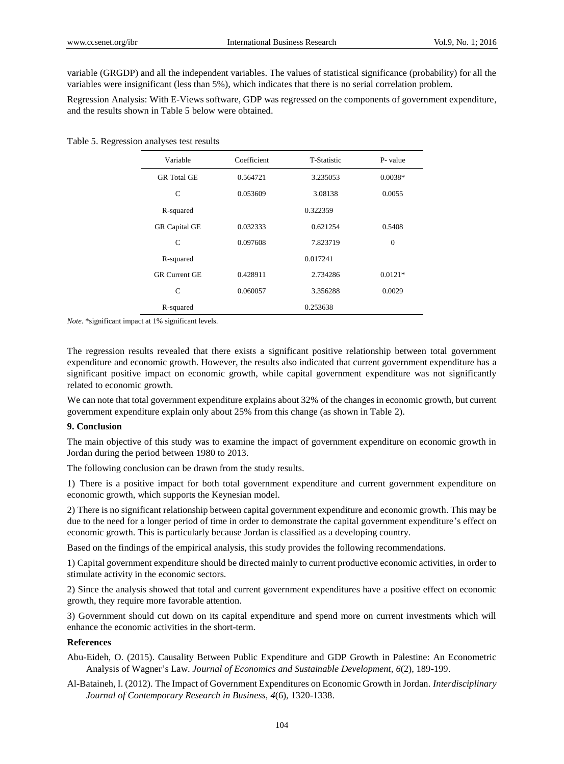variable (GRGDP) and all the independent variables. The values of statistical significance (probability) for all the variables were insignificant (less than 5%), which indicates that there is no serial correlation problem.

Regression Analysis: With E-Views software, GDP was regressed on the components of government expenditure, and the results shown in Table 5 below were obtained.

Table 5. Regression analyses test results

| Variable             | Coefficient | T-Statistic | P-value   |
|----------------------|-------------|-------------|-----------|
| <b>GR</b> Total GE   | 0.564721    | 3.235053    | $0.0038*$ |
| C                    | 0.053609    | 3.08138     | 0.0055    |
| R-squared            |             | 0.322359    |           |
| <b>GR Capital GE</b> | 0.032333    | 0.621254    | 0.5408    |
| C                    | 0.097608    | 7.823719    | $\theta$  |
| R-squared            |             | 0.017241    |           |
| <b>GR Current GE</b> | 0.428911    | 2.734286    | $0.0121*$ |
| C                    | 0.060057    | 3.356288    | 0.0029    |
| R-squared            |             | 0.253638    |           |

*Note.* \*significant impact at 1% significant levels.

The regression results revealed that there exists a significant positive relationship between total government expenditure and economic growth. However, the results also indicated that current government expenditure has a significant positive impact on economic growth, while capital government expenditure was not significantly related to economic growth.

We can note that total government expenditure explains about 32% of the changes in economic growth, but current government expenditure explain only about 25% from this change (as shown in Table 2).

# **9. Conclusion**

The main objective of this study was to examine the impact of government expenditure on economic growth in Jordan during the period between 1980 to 2013.

The following conclusion can be drawn from the study results.

1) There is a positive impact for both total government expenditure and current government expenditure on economic growth, which supports the Keynesian model.

2) There is no significant relationship between capital government expenditure and economic growth. This may be due to the need for a longer period of time in order to demonstrate the capital government expenditure's effect on economic growth. This is particularly because Jordan is classified as a developing country.

Based on the findings of the empirical analysis, this study provides the following recommendations.

1) Capital government expenditure should be directed mainly to current productive economic activities, in order to stimulate activity in the economic sectors.

2) Since the analysis showed that total and current government expenditures have a positive effect on economic growth, they require more favorable attention.

3) Government should cut down on its capital expenditure and spend more on current investments which will enhance the economic activities in the short-term.

## **References**

Abu-Eideh, O. (2015). Causality Between Public Expenditure and GDP Growth in Palestine: An Econometric Analysis of Wagner's Law. *Journal of Economics and Sustainable Development, 6*(2), 189-199.

Al-Bataineh, I. (2012). The Impact of Government Expenditures on Economic Growth in Jordan. *Interdisciplinary Journal of Contemporary Research in Business, 4*(6), 1320-1338.